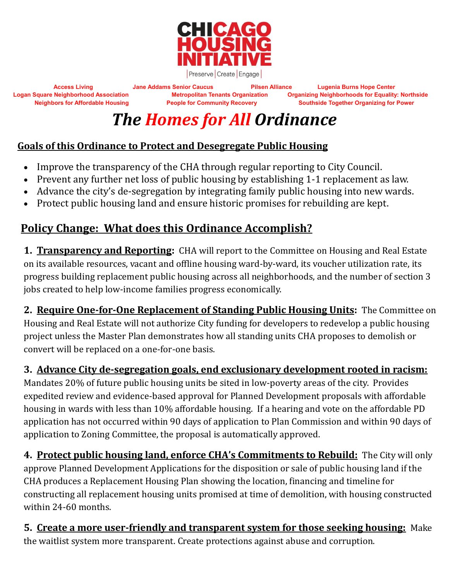

**Access Living Jane Addams Senior Caucus Pilsen Alliance Lugenia Burns Hope Center Logan Square Neighborhood Association Metropolitan Tenants Organization Organizing Neighborhoods for Equality: Northside Neighbors for Affordable Housing People for Community Recovery Southside Together Organizing for Power**

## *The Homes for All Ordinance*

## **Goals of this Ordinance to Protect and Desegregate Public Housing**

- Improve the transparency of the CHA through regular reporting to City Council.
- Prevent any further net loss of public housing by establishing 1-1 replacement as law.
- Advance the city's de-segregation by integrating family public housing into new wards.
- Protect public housing land and ensure historic promises for rebuilding are kept.

## **Policy Change: What does this Ordinance Accomplish?**

**1. Transparency and Reporting:** CHA will report to the Committee on Housing and Real Estate on its available resources, vacant and offline housing ward-by-ward, its voucher utilization rate, its progress building replacement public housing across all neighborhoods, and the number of section 3 jobs created to help low-income families progress economically.

**2. Require One-for-One Replacement of Standing Public Housing Units:** The Committee on Housing and Real Estate will not authorize City funding for developers to redevelop a public housing project unless the Master Plan demonstrates how all standing units CHA proposes to demolish or convert will be replaced on a one-for-one basis.

**3. Advance City de-segregation goals, end exclusionary development rooted in racism:** Mandates 20% of future public housing units be sited in low-poverty areas of the city. Provides expedited review and evidence-based approval for Planned Development proposals with affordable housing in wards with less than 10% affordable housing. If a hearing and vote on the affordable PD application has not occurred within 90 days of application to Plan Commission and within 90 days of application to Zoning Committee, the proposal is automatically approved.

**4. Protect public housing land, enforce CHA's Commitments to Rebuild:** The City will only approve Planned Development Applications for the disposition or sale of public housing land if the CHA produces a Replacement Housing Plan showing the location, financing and timeline for constructing all replacement housing units promised at time of demolition, with housing constructed within 24-60 months.

**5. Create a more user-friendly and transparent system for those seeking housing:** Make the waitlist system more transparent. Create protections against abuse and corruption.